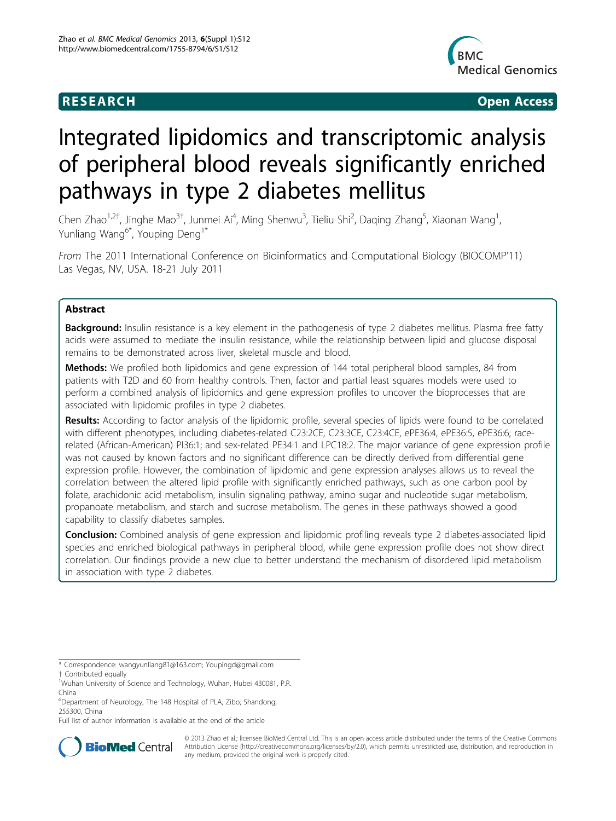## **RESEARCH CONSTRUCTION CONSTRUCTS**



# Integrated lipidomics and transcriptomic analysis of peripheral blood reveals significantly enriched pathways in type 2 diabetes mellitus

Chen Zhao<sup>1,2†</sup>, Jinghe Mao<sup>3†</sup>, Junmei Ai<sup>4</sup>, Ming Shenwu<sup>3</sup>, Tieliu Shi<sup>2</sup>, Daqing Zhang<sup>5</sup>, Xiaonan Wang<sup>1</sup> , Yunliang Wang<sup>6\*</sup>, Youping Deng<sup>1\*</sup>

From The 2011 International Conference on Bioinformatics and Computational Biology (BIOCOMP'11) Las Vegas, NV, USA. 18-21 July 2011

## Abstract

Background: Insulin resistance is a key element in the pathogenesis of type 2 diabetes mellitus. Plasma free fatty acids were assumed to mediate the insulin resistance, while the relationship between lipid and glucose disposal remains to be demonstrated across liver, skeletal muscle and blood.

Methods: We profiled both lipidomics and gene expression of 144 total peripheral blood samples, 84 from patients with T2D and 60 from healthy controls. Then, factor and partial least squares models were used to perform a combined analysis of lipidomics and gene expression profiles to uncover the bioprocesses that are associated with lipidomic profiles in type 2 diabetes.

Results: According to factor analysis of the lipidomic profile, several species of lipids were found to be correlated with different phenotypes, including diabetes-related C23:2CE, C23:3CE, C23:4CE, ePE36:4, ePE36:5, ePE36:6; racerelated (African-American) PI36:1; and sex-related PE34:1 and LPC18:2. The major variance of gene expression profile was not caused by known factors and no significant difference can be directly derived from differential gene expression profile. However, the combination of lipidomic and gene expression analyses allows us to reveal the correlation between the altered lipid profile with significantly enriched pathways, such as one carbon pool by folate, arachidonic acid metabolism, insulin signaling pathway, amino sugar and nucleotide sugar metabolism, propanoate metabolism, and starch and sucrose metabolism. The genes in these pathways showed a good capability to classify diabetes samples.

Conclusion: Combined analysis of gene expression and lipidomic profiling reveals type 2 diabetes-associated lipid species and enriched biological pathways in peripheral blood, while gene expression profile does not show direct correlation. Our findings provide a new clue to better understand the mechanism of disordered lipid metabolism in association with type 2 diabetes.

Full list of author information is available at the end of the article



© 2013 Zhao et al.; licensee BioMed Central Ltd. This is an open access article distributed under the terms of the Creative Commons Attribution License [\(http://creativecommons.org/licenses/by/2.0](http://creativecommons.org/licenses/by/2.0)), which permits unrestricted use, distribution, and reproduction in any medium, provided the original work is properly cited.

<sup>\*</sup> Correspondence: [wangyunliang81@163.com](mailto:wangyunliang81@163.com); [Youpingd@gmail.com](mailto:Youpingd@gmail.com)

<sup>†</sup> Contributed equally <sup>1</sup>

<sup>&</sup>lt;sup>1</sup>Wuhan University of Science and Technology, Wuhan, Hubei 430081, P.R. China

<sup>&</sup>lt;sup>6</sup>Department of Neurology, The 148 Hospital of PLA, Zibo, Shandong, 255300, China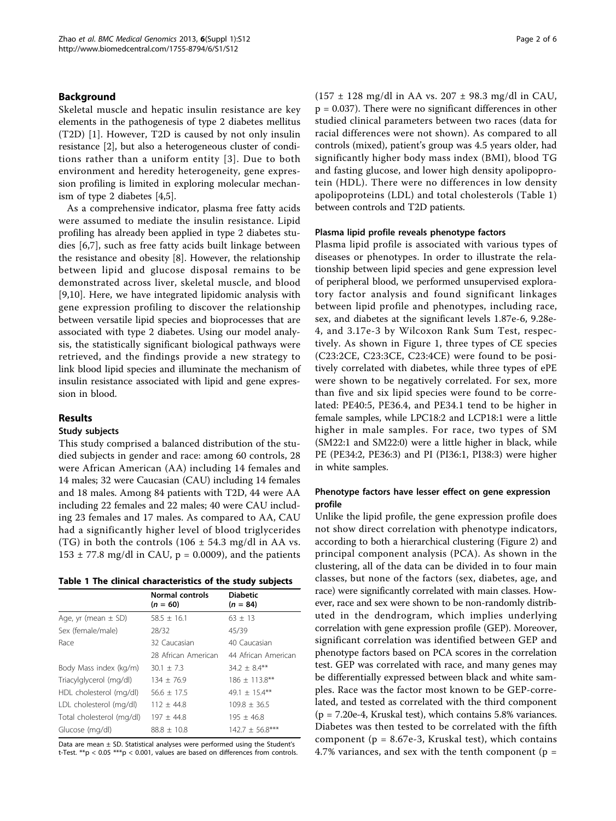#### Background

Skeletal muscle and hepatic insulin resistance are key elements in the pathogenesis of type 2 diabetes mellitus (T2D) [[1\]](#page-4-0). However, T2D is caused by not only insulin resistance [\[2\]](#page-4-0), but also a heterogeneous cluster of conditions rather than a uniform entity [[3](#page-4-0)]. Due to both environment and heredity heterogeneity, gene expression profiling is limited in exploring molecular mechanism of type 2 diabetes [\[4,5](#page-4-0)].

As a comprehensive indicator, plasma free fatty acids were assumed to mediate the insulin resistance. Lipid profiling has already been applied in type 2 diabetes studies [[6,7\]](#page-4-0), such as free fatty acids built linkage between the resistance and obesity [\[8\]](#page-4-0). However, the relationship between lipid and glucose disposal remains to be demonstrated across liver, skeletal muscle, and blood [[9,10](#page-4-0)]. Here, we have integrated lipidomic analysis with gene expression profiling to discover the relationship between versatile lipid species and bioprocesses that are associated with type 2 diabetes. Using our model analysis, the statistically significant biological pathways were retrieved, and the findings provide a new strategy to link blood lipid species and illuminate the mechanism of insulin resistance associated with lipid and gene expression in blood.

#### Results

### Study subjects

This study comprised a balanced distribution of the studied subjects in gender and race: among 60 controls, 28 were African American (AA) including 14 females and 14 males; 32 were Caucasian (CAU) including 14 females and 18 males. Among 84 patients with T2D, 44 were AA including 22 females and 22 males; 40 were CAU including 23 females and 17 males. As compared to AA, CAU had a significantly higher level of blood triglycerides (TG) in both the controls (106  $\pm$  54.3 mg/dl in AA vs.  $153 \pm 77.8$  mg/dl in CAU, p = 0.0009), and the patients

|                           | <b>Normal controls</b><br>$(n = 60)$ | <b>Diabetic</b><br>$(n = 84)$ |
|---------------------------|--------------------------------------|-------------------------------|
| Age, yr (mean $\pm$ SD)   | $58.5 \pm 16.1$                      | $63 \pm 13$                   |
| Sex (female/male)         | 28/32                                | 45/39                         |
| Race                      | 32 Caucasian                         | 40 Caucasian                  |
|                           | 28 African American                  | 44 African American           |
| Body Mass index (kg/m)    | $30.1 \pm 7.3$                       | $34.2 + 8.4**$                |
| Triacylglycerol (mg/dl)   | $134 \pm 76.9$                       | $186 \pm 113.8$ **            |
| HDL cholesterol (mg/dl)   | $56.6 \pm 17.5$                      | 49.1 $\pm$ 15.4**             |
| LDL cholesterol (mg/dl)   | $112 \pm 44.8$                       | $109.8 \pm 36.5$              |
| Total cholesterol (mg/dl) | $197 \pm 44.8$                       | $195 \pm 46.8$                |
| Glucose (mg/dl)           | $88.8 \pm 10.8$                      | $142.7 \pm 56.8***$           |

Data are mean  $\pm$  SD. Statistical analyses were performed using the Student's t-Test.  $**p < 0.05$  \*\*\*p < 0.001, values are based on differences from controls. (157 ± 128 mg/dl in AA vs. 207 ± 98.3 mg/dl in CAU,  $p = 0.037$ ). There were no significant differences in other studied clinical parameters between two races (data for racial differences were not shown). As compared to all controls (mixed), patient's group was 4.5 years older, had significantly higher body mass index (BMI), blood TG and fasting glucose, and lower high density apolipoprotein (HDL). There were no differences in low density apolipoproteins (LDL) and total cholesterols (Table 1) between controls and T2D patients.

#### Plasma lipid profile reveals phenotype factors

Plasma lipid profile is associated with various types of diseases or phenotypes. In order to illustrate the relationship between lipid species and gene expression level of peripheral blood, we performed unsupervised exploratory factor analysis and found significant linkages between lipid profile and phenotypes, including race, sex, and diabetes at the significant levels 1.87e-6, 9.28e-4, and 3.17e-3 by Wilcoxon Rank Sum Test, respectively. As shown in Figure [1](#page-2-0), three types of CE species (C23:2CE, C23:3CE, C23:4CE) were found to be positively correlated with diabetes, while three types of ePE were shown to be negatively correlated. For sex, more than five and six lipid species were found to be correlated: PE40:5, PE36.4, and PE34.1 tend to be higher in female samples, while LPC18:2 and LCP18:1 were a little higher in male samples. For race, two types of SM (SM22:1 and SM22:0) were a little higher in black, while PE (PE34:2, PE36:3) and PI (PI36:1, PI38:3) were higher in white samples.

#### Phenotype factors have lesser effect on gene expression profile

Unlike the lipid profile, the gene expression profile does not show direct correlation with phenotype indicators, according to both a hierarchical clustering (Figure [2\)](#page-2-0) and principal component analysis (PCA). As shown in the clustering, all of the data can be divided in to four main classes, but none of the factors (sex, diabetes, age, and race) were significantly correlated with main classes. However, race and sex were shown to be non-randomly distributed in the dendrogram, which implies underlying correlation with gene expression profile (GEP). Moreover, significant correlation was identified between GEP and phenotype factors based on PCA scores in the correlation test. GEP was correlated with race, and many genes may be differentially expressed between black and white samples. Race was the factor most known to be GEP-correlated, and tested as correlated with the third component (p = 7.20e-4, Kruskal test), which contains 5.8% variances. Diabetes was then tested to be correlated with the fifth component ( $p = 8.67e-3$ , Kruskal test), which contains 4.7% variances, and sex with the tenth component ( $p =$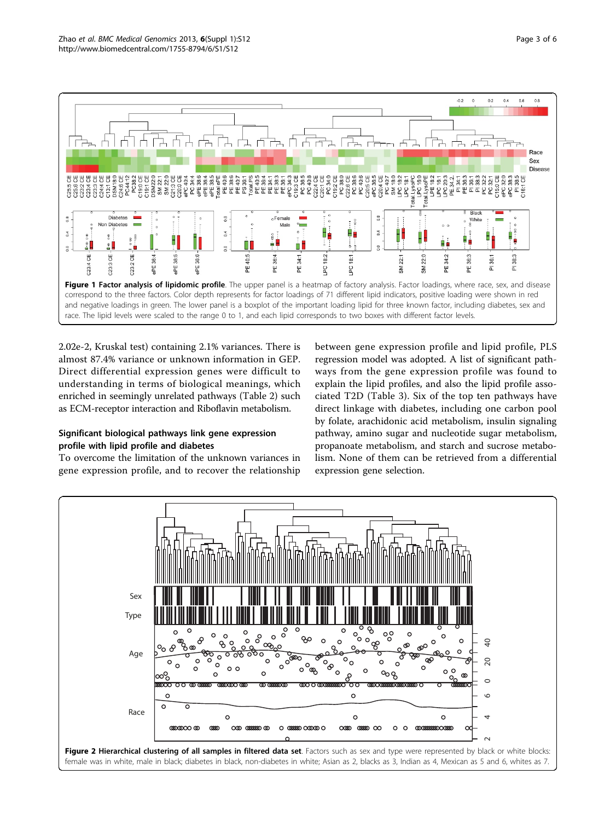<span id="page-2-0"></span>

2.02e-2, Kruskal test) containing 2.1% variances. There is almost 87.4% variance or unknown information in GEP. Direct differential expression genes were difficult to understanding in terms of biological meanings, which enriched in seemingly unrelated pathways (Table [2\)](#page-3-0) such as ECM-receptor interaction and Riboflavin metabolism.

## Significant biological pathways link gene expression profile with lipid profile and diabetes

To overcome the limitation of the unknown variances in gene expression profile, and to recover the relationship

between gene expression profile and lipid profile, PLS regression model was adopted. A list of significant pathways from the gene expression profile was found to explain the lipid profiles, and also the lipid profile associated T2D (Table [3\)](#page-3-0). Six of the top ten pathways have direct linkage with diabetes, including one carbon pool by folate, arachidonic acid metabolism, insulin signaling pathway, amino sugar and nucleotide sugar metabolism, propanoate metabolism, and starch and sucrose metabolism. None of them can be retrieved from a differential expression gene selection.

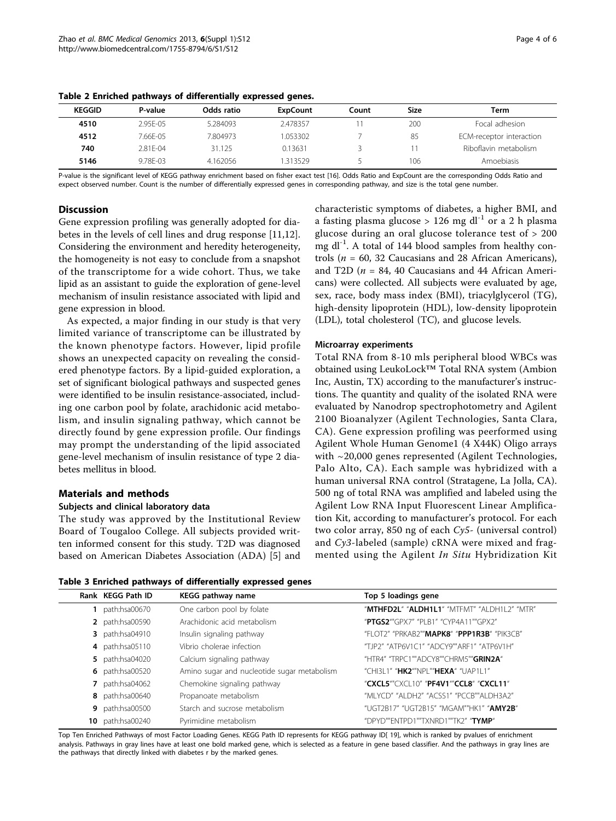| KEGGID | P-value       | Odds ratio | ExpCount | Count | Size | Term                     |
|--------|---------------|------------|----------|-------|------|--------------------------|
| 4510   | $2.95F - 0.5$ | 5.284093   | 2.478357 |       | 200  | Focal adhesion           |
| 4512   | 7.66F-05      | 7.804973   | 1.053302 |       | 85   | ECM-receptor interaction |
| 740    | $2.81F - 04$  | 31.125     | 0.13631  |       |      | Riboflavin metabolism    |
| 5146   | $9.78F - 03$  | 4.162056   | 313529   |       | 106  | Amoebiasis               |

<span id="page-3-0"></span>Table 2 Enriched pathways of differentially expressed genes.

P-value is the significant level of KEGG pathway enrichment based on fisher exact test [[16\]](#page-4-0). Odds Ratio and ExpCount are the corresponding Odds Ratio and expect observed number. Count is the number of differentially expressed genes in corresponding pathway, and size is the total gene number.

#### **Discussion**

Gene expression profiling was generally adopted for diabetes in the levels of cell lines and drug response [\[11,12](#page-4-0)]. Considering the environment and heredity heterogeneity, the homogeneity is not easy to conclude from a snapshot of the transcriptome for a wide cohort. Thus, we take lipid as an assistant to guide the exploration of gene-level mechanism of insulin resistance associated with lipid and gene expression in blood.

As expected, a major finding in our study is that very limited variance of transcriptome can be illustrated by the known phenotype factors. However, lipid profile shows an unexpected capacity on revealing the considered phenotype factors. By a lipid-guided exploration, a set of significant biological pathways and suspected genes were identified to be insulin resistance-associated, including one carbon pool by folate, arachidonic acid metabolism, and insulin signaling pathway, which cannot be directly found by gene expression profile. Our findings may prompt the understanding of the lipid associated gene-level mechanism of insulin resistance of type 2 diabetes mellitus in blood.

## Materials and methods

#### Subjects and clinical laboratory data

The study was approved by the Institutional Review Board of Tougaloo College. All subjects provided written informed consent for this study. T2D was diagnosed based on American Diabetes Association (ADA) [[5\]](#page-4-0) and

|  |  |  |  | Table 3 Enriched pathways of differentially expressed genes |  |  |
|--|--|--|--|-------------------------------------------------------------|--|--|
|--|--|--|--|-------------------------------------------------------------|--|--|

characteristic symptoms of diabetes, a higher BMI, and a fasting plasma glucose > 126 mg dl<sup>-1</sup> or a 2 h plasma glucose during an oral glucose tolerance test of > 200 mg dl<sup>-1</sup>. A total of 144 blood samples from healthy controls ( $n = 60$ , 32 Caucasians and 28 African Americans), and T2D ( $n = 84$ , 40 Caucasians and 44 African Americans) were collected. All subjects were evaluated by age, sex, race, body mass index (BMI), triacylglycerol (TG), high-density lipoprotein (HDL), low-density lipoprotein (LDL), total cholesterol (TC), and glucose levels.

#### Microarray experiments

Total RNA from 8-10 mls peripheral blood WBCs was obtained using LeukoLock™ Total RNA system (Ambion Inc, Austin, TX) according to the manufacturer's instructions. The quantity and quality of the isolated RNA were evaluated by Nanodrop spectrophotometry and Agilent 2100 Bioanalyzer (Agilent Technologies, Santa Clara, CA). Gene expression profiling was peerformed using Agilent Whole Human Genome1 (4 X44K) Oligo arrays with ~20,000 genes represented (Agilent Technologies, Palo Alto, CA). Each sample was hybridized with a human universal RNA control (Stratagene, La Jolla, CA). 500 ng of total RNA was amplified and labeled using the Agilent Low RNA Input Fluorescent Linear Amplification Kit, according to manufacturer's protocol. For each two color array, 850 ng of each Cy5- (universal control) and Cy3-labeled (sample) cRNA were mixed and fragmented using the Agilent In Situ Hybridization Kit

| Rank KEGG Path ID       | KEGG pathway name                           | Top 5 loadings gene                         |
|-------------------------|---------------------------------------------|---------------------------------------------|
| path:hsa00670           | One carbon pool by folate                   | "MTHFD2L" "ALDH1L1" "MTFMT" "ALDH1L2" "MTR" |
| 2 path:hsa00590         | Arachidonic acid metabolism                 | "PTGS2""GPX7" "PI B1" "CYP4A11""GPX2"       |
| <b>3</b> path:hsa04910  | Insulin signaling pathway                   | "FI OT2" "PRKAB2""MAPK8" "PPP1R3B" "PIK3CB" |
| 4 path:hsa05110         | Vibrio cholerae infection                   | "TJP2" "ATP6V1C1" "ADCY9""ARF1" "ATP6V1H"   |
| <b>5</b> path:hsa04020  | Calcium signaling pathway                   | "HTR4" "TRPC1""ADCY8""CHRM5""GRIN2A"        |
| 6 path:hsa00520         | Amino sugar and nucleotide sugar metabolism | "CHI3I 1" "HK2""NPI ""HEXA" "UAP1I 1"       |
| $7$ path:hsa04062       | Chemokine signaling pathway                 | "CXCL5""CXCL10" "PF4V1""CCL8" "CXCL11"      |
| 8 path:hsa00640         | Propanoate metabolism                       | "MI YCD" "AI DH2" "ACSS1" "PCCB""AI DH3A2"  |
| 9 path:hsa00500         | Starch and sucrose metabolism               | "UGT2B17" "UGT2B15" "MGAM""HK1" "AMY2B"     |
| <b>10</b> path:hsa00240 | Pyrimidine metabolism                       | "DPYD""ENTPD1""TXNRD1""TK2" "TYMP"          |

Top Ten Enriched Pathways of most Factor Loading Genes. KEGG Path ID represents for KEGG pathway ID[ [19](#page-4-0)], which is ranked by pvalues of enrichment analysis. Pathways in gray lines have at least one bold marked gene, which is selected as a feature in gene based classifier. And the pathways in gray lines are the pathways that directly linked with diabetes r by the marked genes.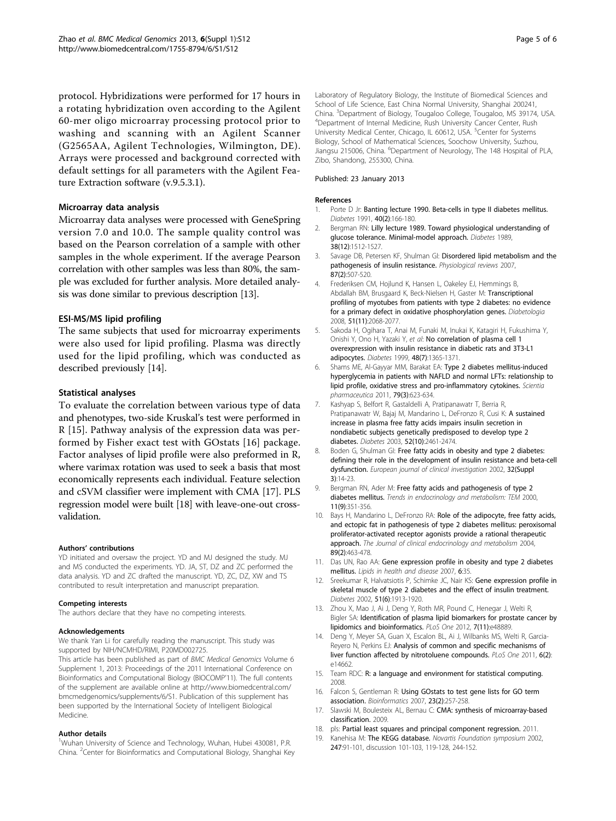<span id="page-4-0"></span>protocol. Hybridizations were performed for 17 hours in a rotating hybridization oven according to the Agilent 60-mer oligo microarray processing protocol prior to washing and scanning with an Agilent Scanner (G2565AA, Agilent Technologies, Wilmington, DE). Arrays were processed and background corrected with default settings for all parameters with the Agilent Feature Extraction software (v.9.5.3.1).

#### Microarray data analysis

Microarray data analyses were processed with GeneSpring version 7.0 and 10.0. The sample quality control was based on the Pearson correlation of a sample with other samples in the whole experiment. If the average Pearson correlation with other samples was less than 80%, the sample was excluded for further analysis. More detailed analysis was done similar to previous description [13].

#### ESI-MS/MS lipid profiling

The same subjects that used for microarray experiments were also used for lipid profiling. Plasma was directly used for the lipid profiling, which was conducted as described previously [14].

#### Statistical analyses

To evaluate the correlation between various type of data and phenotypes, two-side Kruskal's test were performed in R [15]. Pathway analysis of the expression data was performed by Fisher exact test with GOstats [16] package. Factor analyses of lipid profile were also preformed in R, where varimax rotation was used to seek a basis that most economically represents each individual. Feature selection and cSVM classifier were implement with CMA [17]. PLS regression model were built [18] with leave-one-out crossvalidation.

#### Authors' contributions

YD initiated and oversaw the project. YD and MJ designed the study. MJ and MS conducted the experiments. YD. JA, ST, DZ and ZC performed the data analysis. YD and ZC drafted the manuscript. YD, ZC, DZ, XW and TS contributed to result interpretation and manuscript preparation.

#### Competing interests

The authors declare that they have no competing interests.

#### Acknowledgements

We thank Yan Li for carefully reading the manuscript. This study was supported by NIH/NCMHD/RIMI, P20MD002725.

This article has been published as part of BMC Medical Genomics Volume 6 Supplement 1, 2013: Proceedings of the 2011 International Conference on Bioinformatics and Computational Biology (BIOCOMP'11). The full contents of the supplement are available online at [http://www.biomedcentral.com/](http://www.biomedcentral.com/bmcmedgenomics/supplements/6/S1) [bmcmedgenomics/supplements/6/S1.](http://www.biomedcentral.com/bmcmedgenomics/supplements/6/S1) Publication of this supplement has been supported by the International Society of Intelligent Biological Medicine.

#### Author details

<sup>1</sup>Wuhan University of Science and Technology, Wuhan, Hubei 430081, P.R. China. <sup>2</sup>Center for Bioinformatics and Computational Biology, Shanghai Key Laboratory of Regulatory Biology, the Institute of Biomedical Sciences and School of Life Science, East China Normal University, Shanghai 200241, China. <sup>3</sup>Department of Biology, Tougaloo College, Tougaloo, MS 39174, USA.<br><sup>4</sup>Department of Internal Medicine, Bush University Cancer Center, Bush. <sup>4</sup>Department of Internal Medicine, Rush University Cancer Center, Rush University Medical Center, Chicago, IL 60612, USA. <sup>5</sup>Center for Systems Biology, School of Mathematical Sciences, Soochow University, Suzhou, Jiangsu 215006, China. <sup>6</sup>Department of Neurology, The 148 Hospital of PLA, Zibo, Shandong, 255300, China.

#### Published: 23 January 2013

#### References

- 1. Porte D Jr: [Banting lecture 1990. Beta-cells in type II diabetes mellitus.](http://www.ncbi.nlm.nih.gov/pubmed/1991568?dopt=Abstract) Diabetes 1991, 40(2):166-180.
- Bergman RN: [Lilly lecture 1989. Toward physiological understanding of](http://www.ncbi.nlm.nih.gov/pubmed/2684710?dopt=Abstract) [glucose tolerance. Minimal-model approach.](http://www.ncbi.nlm.nih.gov/pubmed/2684710?dopt=Abstract) Diabetes 1989, 38(12):1512-1527.
- 3. Savage DB, Petersen KF, Shulman GI: [Disordered lipid metabolism and the](http://www.ncbi.nlm.nih.gov/pubmed/17429039?dopt=Abstract) [pathogenesis of insulin resistance.](http://www.ncbi.nlm.nih.gov/pubmed/17429039?dopt=Abstract) Physiological reviews 2007, 87(2):507-520.
- 4. Frederiksen CM, Hojlund K, Hansen L, Oakeley EJ, Hemmings B, Abdallah BM, Brusgaard K, Beck-Nielsen H, Gaster M: [Transcriptional](http://www.ncbi.nlm.nih.gov/pubmed/18719883?dopt=Abstract) [profiling of myotubes from patients with type 2 diabetes: no evidence](http://www.ncbi.nlm.nih.gov/pubmed/18719883?dopt=Abstract) [for a primary defect in oxidative phosphorylation genes.](http://www.ncbi.nlm.nih.gov/pubmed/18719883?dopt=Abstract) Diabetologia 2008, 51(11):2068-2077.
- 5. Sakoda H, Ogihara T, Anai M, Funaki M, Inukai K, Katagiri H, Fukushima Y, Onishi Y, Ono H, Yazaki Y, et al: [No correlation of plasma cell 1](http://www.ncbi.nlm.nih.gov/pubmed/10389840?dopt=Abstract) [overexpression with insulin resistance in diabetic rats and 3T3-L1](http://www.ncbi.nlm.nih.gov/pubmed/10389840?dopt=Abstract) [adipocytes.](http://www.ncbi.nlm.nih.gov/pubmed/10389840?dopt=Abstract) Diabetes 1999, 48(7):1365-1371.
- 6. Shams ME, Al-Gayyar MM, Barakat EA: [Type 2 diabetes mellitus-induced](http://www.ncbi.nlm.nih.gov/pubmed/21886908?dopt=Abstract) [hyperglycemia in patients with NAFLD and normal LFTs: relationship to](http://www.ncbi.nlm.nih.gov/pubmed/21886908?dopt=Abstract) [lipid profile, oxidative stress and pro-inflammatory cytokines.](http://www.ncbi.nlm.nih.gov/pubmed/21886908?dopt=Abstract) Scientia pharmaceutica 2011, 79(3):623-634.
- 7. Kashyap S, Belfort R, Gastaldelli A, Pratipanawatr T, Berria R, Pratipanawatr W, Bajaj M, Mandarino L, DeFronzo R, Cusi K: [A sustained](http://www.ncbi.nlm.nih.gov/pubmed/14514628?dopt=Abstract) [increase in plasma free fatty acids impairs insulin secretion in](http://www.ncbi.nlm.nih.gov/pubmed/14514628?dopt=Abstract) [nondiabetic subjects genetically predisposed to develop type 2](http://www.ncbi.nlm.nih.gov/pubmed/14514628?dopt=Abstract) [diabetes.](http://www.ncbi.nlm.nih.gov/pubmed/14514628?dopt=Abstract) Diabetes 2003, 52(10):2461-2474.
- 8. Boden G, Shulman GI: [Free fatty acids in obesity and type 2 diabetes:](http://www.ncbi.nlm.nih.gov/pubmed/12028371?dopt=Abstract) [defining their role in the development of insulin resistance and beta-cell](http://www.ncbi.nlm.nih.gov/pubmed/12028371?dopt=Abstract) [dysfunction.](http://www.ncbi.nlm.nih.gov/pubmed/12028371?dopt=Abstract) European journal of clinical investigation 2002, 32(Suppl 3):14-23.
- 9. Bergman RN, Ader M: [Free fatty acids and pathogenesis of type 2](http://www.ncbi.nlm.nih.gov/pubmed/11042464?dopt=Abstract) [diabetes mellitus.](http://www.ncbi.nlm.nih.gov/pubmed/11042464?dopt=Abstract) Trends in endocrinology and metabolism: TEM 2000, 11(9):351-356.
- 10. Bays H, Mandarino L, DeFronzo RA: [Role of the adipocyte, free fatty acids,](http://www.ncbi.nlm.nih.gov/pubmed/14764748?dopt=Abstract) [and ectopic fat in pathogenesis of type 2 diabetes mellitus: peroxisomal](http://www.ncbi.nlm.nih.gov/pubmed/14764748?dopt=Abstract) [proliferator-activated receptor agonists provide a rational therapeutic](http://www.ncbi.nlm.nih.gov/pubmed/14764748?dopt=Abstract) [approach.](http://www.ncbi.nlm.nih.gov/pubmed/14764748?dopt=Abstract) The Journal of clinical endocrinology and metabolism 2004, 89(2):463-478.
- 11. Das UN, Rao AA: [Gene expression profile in obesity and type 2 diabetes](http://www.ncbi.nlm.nih.gov/pubmed/18078524?dopt=Abstract) [mellitus.](http://www.ncbi.nlm.nih.gov/pubmed/18078524?dopt=Abstract) Lipids in health and disease 2007, 6:35.
- 12. Sreekumar R, Halvatsiotis P, Schimke JC, Nair KS: [Gene expression profile in](http://www.ncbi.nlm.nih.gov/pubmed/12031981?dopt=Abstract) [skeletal muscle of type 2 diabetes and the effect of insulin treatment.](http://www.ncbi.nlm.nih.gov/pubmed/12031981?dopt=Abstract) Diabetes 2002, 51(6):1913-1920.
- 13. Zhou X, Mao J, Ai J, Deng Y, Roth MR, Pound C, Henegar J, Welti R, Bigler SA: [Identification of plasma lipid biomarkers for prostate cancer by](http://www.ncbi.nlm.nih.gov/pubmed/23152813?dopt=Abstract) [lipidomics and bioinformatics.](http://www.ncbi.nlm.nih.gov/pubmed/23152813?dopt=Abstract) PLoS One 2012, 7(11):e48889.
- 14. Deng Y, Meyer SA, Guan X, Escalon BL, Ai J, Wilbanks MS, Welti R, Garcia-Reyero N, Perkins EJ: [Analysis of common and specific mechanisms of](http://www.ncbi.nlm.nih.gov/pubmed/21346803?dopt=Abstract) [liver function affected by nitrotoluene compounds.](http://www.ncbi.nlm.nih.gov/pubmed/21346803?dopt=Abstract) PLoS One 2011, 6(2): e14662.
- 15. Team RDC: R: a language and environment for statistical computing. 2008.
- 16. Falcon S, Gentleman R: [Using GOstats to test gene lists for GO term](http://www.ncbi.nlm.nih.gov/pubmed/17098774?dopt=Abstract) [association.](http://www.ncbi.nlm.nih.gov/pubmed/17098774?dopt=Abstract) Bioinformatics 2007, 23(2):257-258.
- 17. Slawski M, Boulesteix AL, Bernau C: CMA: synthesis of microarray-based classification. 2009.
- 18. pls: Partial least squares and principal component regression. 2011.
- 19. Kanehisa M: [The KEGG database.](http://www.ncbi.nlm.nih.gov/pubmed/12539951?dopt=Abstract) Novartis Foundation symposium 2002, 247:91-101, discussion 101-103, 119-128, 244-152.